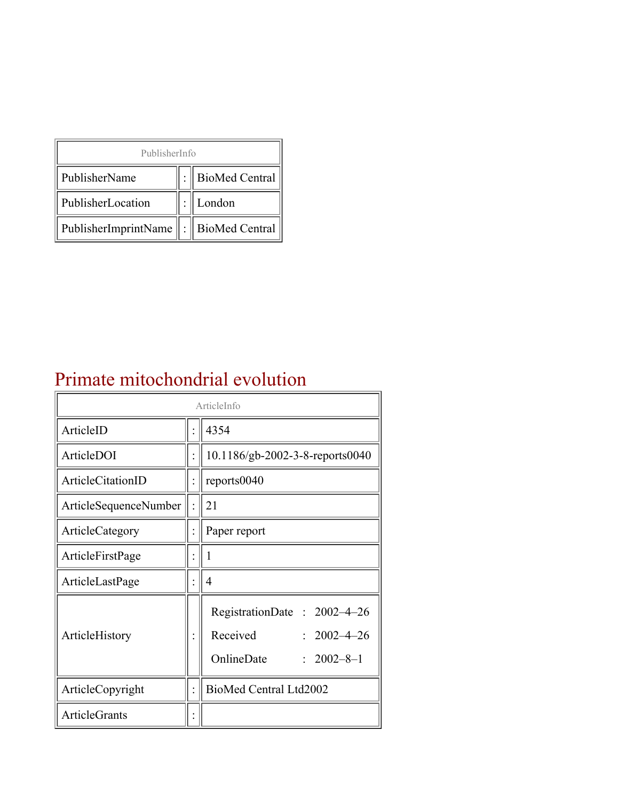| PublisherInfo                                   |  |                    |  |  |
|-------------------------------------------------|--|--------------------|--|--|
| PublisherName                                   |  | :   BioMed Central |  |  |
| PublisherLocation                               |  | London             |  |  |
| PublisherImprintName $\ \cdot\ $ BioMed Central |  |                    |  |  |

#### Primate mitochondrial evolution

| ArticleInfo           |  |                                                                                                |  |
|-----------------------|--|------------------------------------------------------------------------------------------------|--|
| ArticleID             |  | 4354                                                                                           |  |
| ArticleDOI            |  | 10.1186/gb-2002-3-8-reports0040                                                                |  |
| ArticleCitationID     |  | reports0040                                                                                    |  |
| ArticleSequenceNumber |  | 21                                                                                             |  |
| ArticleCategory       |  | Paper report                                                                                   |  |
| ArticleFirstPage      |  | 1                                                                                              |  |
| ArticleLastPage       |  | 4                                                                                              |  |
| ArticleHistory        |  | RegistrationDate: 2002-4-26<br>Received<br>$: 2002 - 4 - 26$<br>OnlineDate<br>$: 2002 - 8 - 1$ |  |
| ArticleCopyright      |  | BioMed Central Ltd2002                                                                         |  |
| <b>ArticleGrants</b>  |  |                                                                                                |  |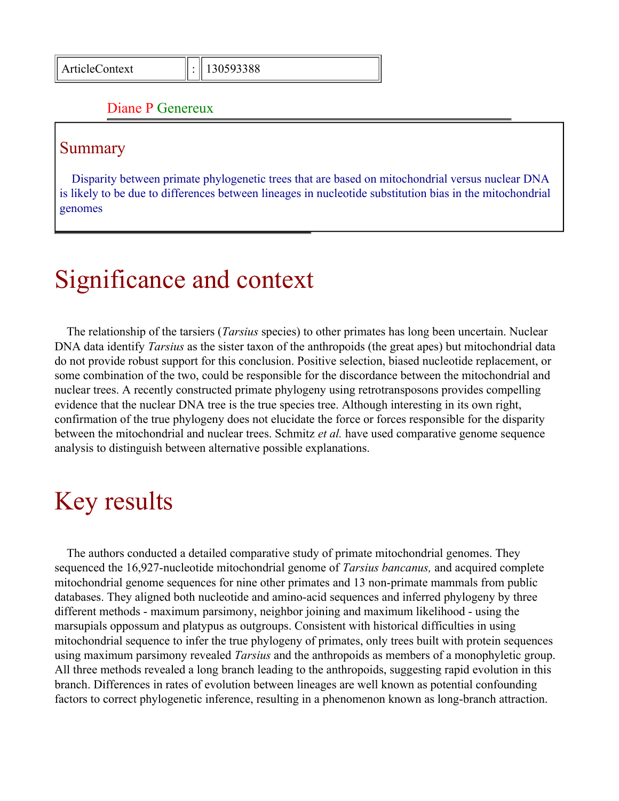#### Diane P Genereux

#### Summary

Disparity between primate phylogenetic trees that are based on mitochondrial versus nuclear DNA is likely to be due to differences between lineages in nucleotide substitution bias in the mitochondrial genomes

## Significance and context

The relationship of the tarsiers (*Tarsius* species) to other primates has long been uncertain. Nuclear DNA data identify *Tarsius* as the sister taxon of the anthropoids (the great apes) but mitochondrial data do not provide robust support for this conclusion. Positive selection, biased nucleotide replacement, or some combination of the two, could be responsible for the discordance between the mitochondrial and nuclear trees. A recently constructed primate phylogeny using retrotransposons provides compelling evidence that the nuclear DNA tree is the true species tree. Although interesting in its own right, confirmation of the true phylogeny does not elucidate the force or forces responsible for the disparity between the mitochondrial and nuclear trees. Schmitz *et al.* have used comparative genome sequence analysis to distinguish between alternative possible explanations.

### Key results

The authors conducted a detailed comparative study of primate mitochondrial genomes. They sequenced the 16,927-nucleotide mitochondrial genome of *Tarsius bancanus,* and acquired complete mitochondrial genome sequences for nine other primates and 13 non-primate mammals from public databases. They aligned both nucleotide and amino-acid sequences and inferred phylogeny by three different methods - maximum parsimony, neighbor joining and maximum likelihood - using the marsupials oppossum and platypus as outgroups. Consistent with historical difficulties in using mitochondrial sequence to infer the true phylogeny of primates, only trees built with protein sequences using maximum parsimony revealed *Tarsius* and the anthropoids as members of a monophyletic group. All three methods revealed a long branch leading to the anthropoids, suggesting rapid evolution in this branch. Differences in rates of evolution between lineages are well known as potential confounding factors to correct phylogenetic inference, resulting in a phenomenon known as long-branch attraction.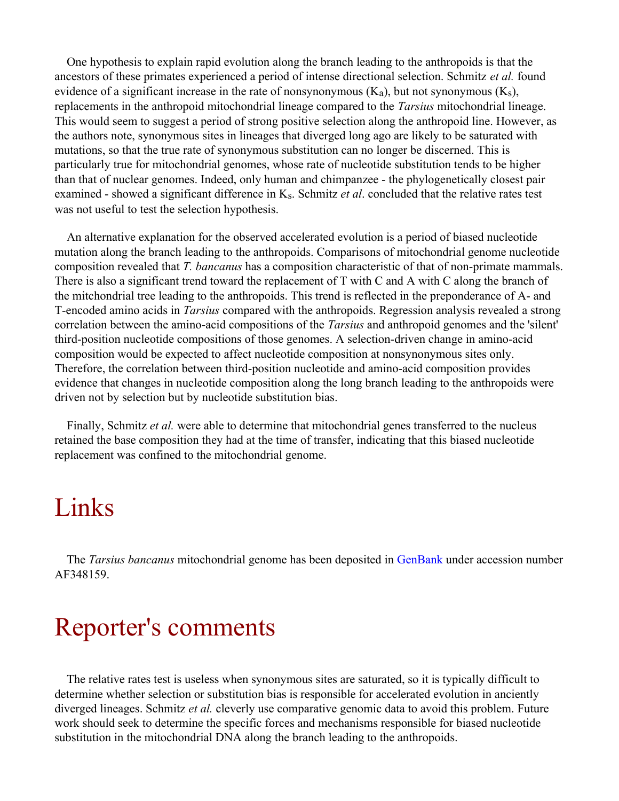One hypothesis to explain rapid evolution along the branch leading to the anthropoids is that the ancestors of these primates experienced a period of intense directional selection. Schmitz *et al.* found evidence of a significant increase in the rate of nonsynonymous  $(K_a)$ , but not synonymous  $(K_s)$ , replacements in the anthropoid mitochondrial lineage compared to the *Tarsius* mitochondrial lineage. This would seem to suggest a period of strong positive selection along the anthropoid line. However, as the authors note, synonymous sites in lineages that diverged long ago are likely to be saturated with mutations, so that the true rate of synonymous substitution can no longer be discerned. This is particularly true for mitochondrial genomes, whose rate of nucleotide substitution tends to be higher than that of nuclear genomes. Indeed, only human and chimpanzee - the phylogenetically closest pair examined - showed a significant difference in Ks. Schmitz *et al*. concluded that the relative rates test was not useful to test the selection hypothesis.

An alternative explanation for the observed accelerated evolution is a period of biased nucleotide mutation along the branch leading to the anthropoids. Comparisons of mitochondrial genome nucleotide composition revealed that *T. bancanus* has a composition characteristic of that of non-primate mammals. There is also a significant trend toward the replacement of T with C and A with C along the branch of the mitchondrial tree leading to the anthropoids. This trend is reflected in the preponderance of A- and T-encoded amino acids in *Tarsius* compared with the anthropoids. Regression analysis revealed a strong correlation between the amino-acid compositions of the *Tarsius* and anthropoid genomes and the 'silent' third-position nucleotide compositions of those genomes. A selection-driven change in amino-acid composition would be expected to affect nucleotide composition at nonsynonymous sites only. Therefore, the correlation between third-position nucleotide and amino-acid composition provides evidence that changes in nucleotide composition along the long branch leading to the anthropoids were driven not by selection but by nucleotide substitution bias.

Finally, Schmitz *et al.* were able to determine that mitochondrial genes transferred to the nucleus retained the base composition they had at the time of transfer, indicating that this biased nucleotide replacement was confined to the mitochondrial genome.

### Links

The *Tarsius bancanus* mitochondrial genome has been deposited in [GenBank](http://www.ncbi.nlm.nih.gov/Genbank/GenbankOverview.html) under accession number AF348159.

### Reporter's comments

The relative rates test is useless when synonymous sites are saturated, so it is typically difficult to determine whether selection or substitution bias is responsible for accelerated evolution in anciently diverged lineages. Schmitz *et al.* cleverly use comparative genomic data to avoid this problem. Future work should seek to determine the specific forces and mechanisms responsible for biased nucleotide substitution in the mitochondrial DNA along the branch leading to the anthropoids.